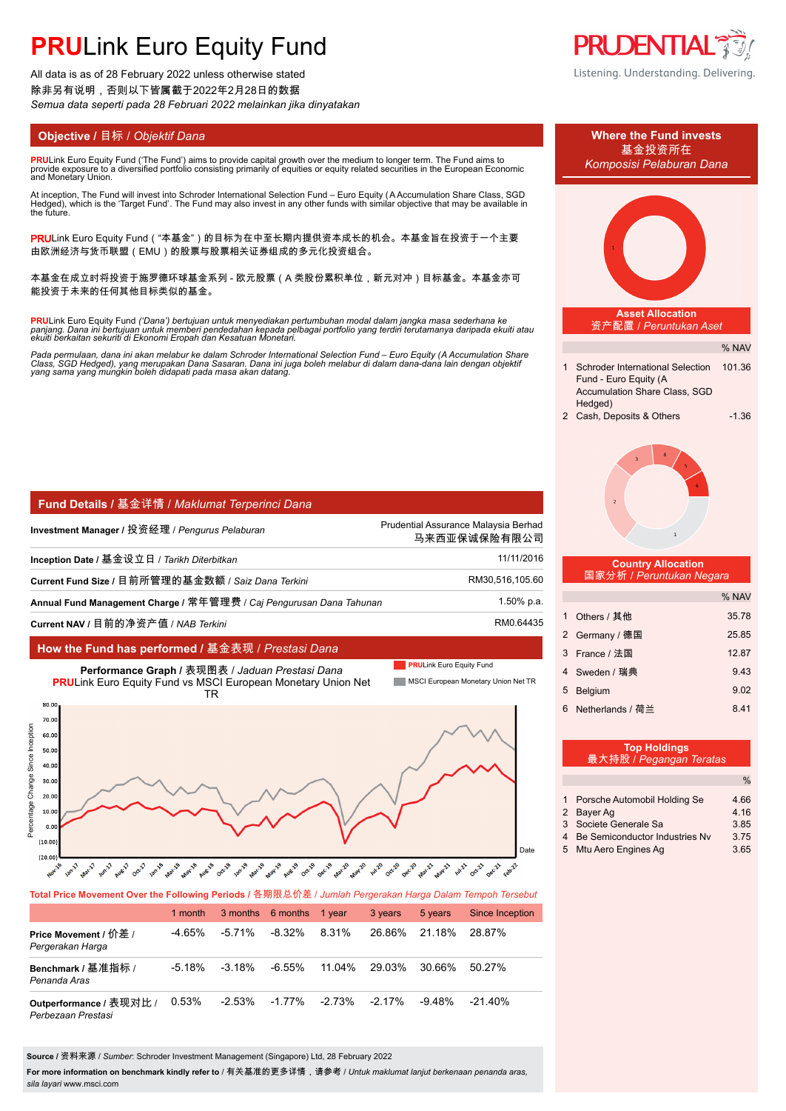# **PRULink Euro Equity Fund**

All data is as of 28 February 2022 unless otherwise stated 除非另有说明,否则以下皆属截于2022年2月28日的数据 *Semua data seperti pada 28 Februari 2022 melainkan jika dinyatakan*

**PRU**Link Euro Equity Fund ('The Fund') aims to provide capital growth over the medium to longer term. The Fund aims to provide exposure to´a diversified portfolio consisting primarily of equities or equity related securities in the European Economic<br>and Monetary Union.

At inception, The Fund will invest into Schroder International Selection Fund – Euro Equity (A Accumulation Share Class, SGD<br>Hedged), which is the 'Target Fund'. The Fund may also invest in any other funds with similar obj the future.

PRULink Euro Equity Fund ( "本基金" )的目标为在中至长期内提供资本成长的机会。本基金旨在投资于一个主要 由欧洲经济与货币联盟(EMU)的股票与股票相关证券组成的多元化投资组合。

本基金在成立时将投资于施罗德环球基金系列 - 欧元股票(A 类股份累积单位,新元对冲)目标基金。本基金亦可 能投资于未来的任何其他目标类似的基金。

**PRU**Link Euro Equity Fund ('Dana') bertujuan untuk menyediakan pertumbuhan modal dalam jangka masa sederhana ke<br>panjang. Dana ini bertujuan untuk memberi pendedahan kepada pelbagai portfolio yang terdiri terutamanya darip

Pada permulaan, dana ini akan melabur ke dalam Schroder International Selection Fund – Euro Equity (A Accumulation Share<br>Class, SGD Hedged), yang merupakan Dana Sasaran. Dana ini juga boleh melabur di dalam dana-dana lain

| Fund Details / 基金详情 / Maklumat Terperinci Dana |
|------------------------------------------------|
|------------------------------------------------|

| Investment Manager / 投资经理 / Pengurus Pelaburan                      | Prudential Assurance Malaysia Berhad<br>马来西亚保诚保险有限公司 |
|---------------------------------------------------------------------|------------------------------------------------------|
| Inception Date / 基金设立日 / Tarikh Diterbitkan                         | 11/11/2016                                           |
| Current Fund Size / 目前所管理的基金数额 / Saiz Dana Terkini                  | RM30,516,105.60                                      |
| Annual Fund Management Charge / 常年管理费 / Caj Pengurusan Dana Tahunan | 1.50% p.a.                                           |
| Current NAV / 目前的净资产值 / NAB Terkini                                 | RM0.64435                                            |

### **How the Fund has performed /** 基金表现 / *Prestasi Dana*



**Total Price Movement Over the Following Periods /** 各期限总价差 / *Jumlah Pergerakan Harga Dalam Tempoh Tersebut*

|                                               | 1 month  |           | 3 months 6 months 1 year |           | 3 years   | 5 years   | Since Inception |
|-----------------------------------------------|----------|-----------|--------------------------|-----------|-----------|-----------|-----------------|
| Price Movement / 价差 /<br>Pergerakan Harga     | -4.65%   | $-5.71\%$ | $-8.32\%$                | 8.31%     | 26.86%    | 21.18%    | 28.87%          |
| Benchmark / 基准指标 /<br>Penanda Aras            | $-5.18%$ | $-3.18\%$ | $-6.55\%$                | 11.04%    | 29.03%    | 30.66%    | $50.27\%$       |
| Outperformance / 表现对比 /<br>Perbezaan Prestasi | 0.53%    | $-2.53\%$ | $-1.77\%$                | $-2.73\%$ | $-2.17\%$ | $-9.48\%$ | $-21.40\%$      |

**Source /** 资料来源 / *Sumber*: Schroder Investment Management (Singapore) Ltd, 28 February 2022

**For more information on benchmark kindly refer to** / 有关基准的更多详情,请参考 / *Untuk maklumat lanjut berkenaan penanda aras, sila layari* www.msci.com









#### **Country Allocation** 国家分析 / *Peruntukan Negara*

|   |                  | % NAV |
|---|------------------|-------|
| 1 | Others / 其他      | 35.78 |
|   | 2 Germany / 德国   | 25.85 |
| 3 | France / 法国      | 12.87 |
|   | 4 Sweden / 瑞典    | 9.43  |
| 5 | <b>Belgium</b>   | 9.02  |
| 6 | Netherlands / 荷兰 | 8.41  |

|   | <b>Top Holdings</b><br>最大持股 / Pegangan Teratas |               |
|---|------------------------------------------------|---------------|
|   |                                                | $\frac{0}{0}$ |
| 2 | 1 Porsche Automobil Holding Se<br>Bayer Ag     | 4.66<br>4.16  |
| 3 | Societe Generale Sa                            | 3.85          |
| 4 | Be Semiconductor Industries Ny                 | 3 75          |
|   | 5 Mtu Aero Engines Ag                          | 3.65          |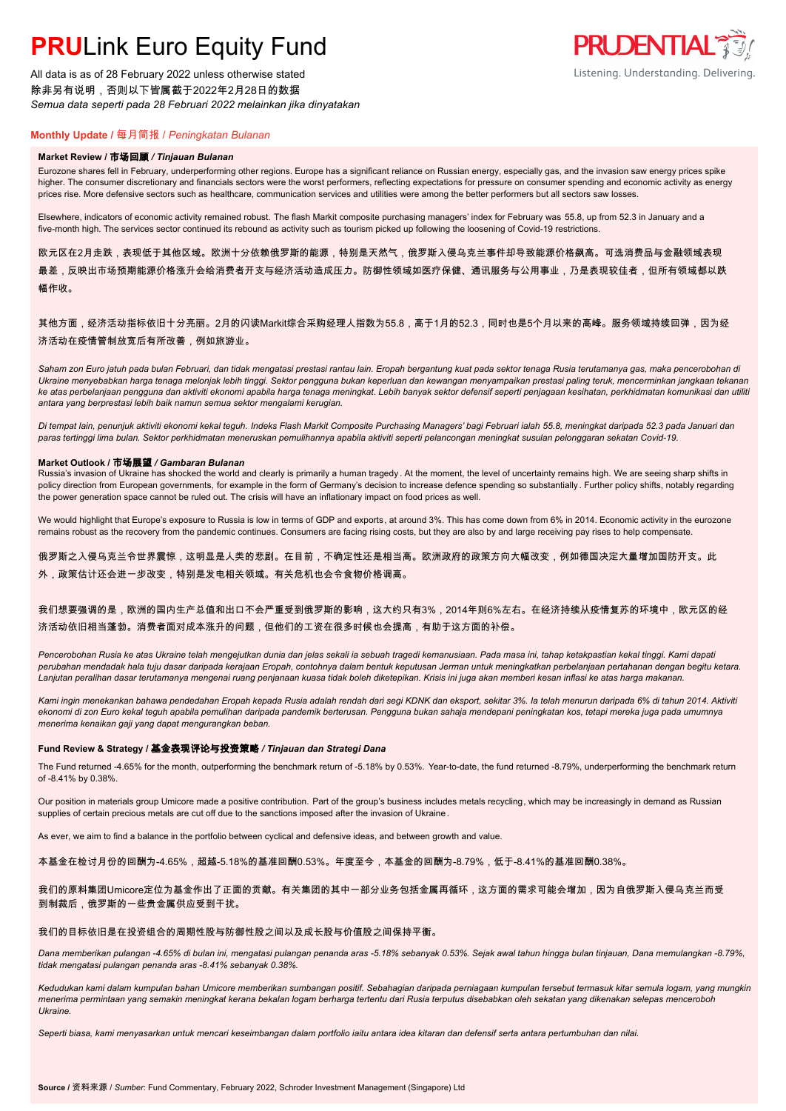# **PRU**Link Euro Equity Fund

All data is as of 28 February 2022 unless otherwise stated 除非另有说明,否则以下皆属截于2022年2月28日的数据 *Semua data seperti pada 28 Februari 2022 melainkan jika dinyatakan*



# **Monthly Update /** 每月简报 / *Peningkatan Bulanan*

#### **Market Review /** 市场回顾 */ Tinjauan Bulanan*

Eurozone shares fell in February, underperforming other regions. Europe has a significant reliance on Russian energy, especially gas, and the invasion saw energy prices spike higher. The consumer discretionary and financials sectors were the worst performers, reflecting expectations for pressure on consumer spending and economic activity as energy prices rise. More defensive sectors such as healthcare, communication services and utilities were among the better performers but all sectors saw losses.

Elsewhere, indicators of economic activity remained robust. The flash Markit composite purchasing managers' index for February was 55.8, up from 52.3 in January and a five-month high. The services sector continued its rebound as activity such as tourism picked up following the loosening of Covid-19 restrictions.

欧元区在2月走跌,表现低于其他区域。欧洲十分依赖俄罗斯的能源,特别是天然气,俄罗斯入侵乌克兰事件却导致能源价格飙高。可选消费品与金融领域表现 最差,反映出市场预期能源价格涨升会给消费者开支与经济活动造成压力。防御性领域如医疗保健、通讯服务与公用事业,乃是表现较佳者,但所有领域都以跌 幅作收。

## 其他方面,经济活动指标依旧十分亮丽。2月的闪读Markit综合采购经理人指数为55.8,高于1月的52.3, 同时也是5个月以来的高峰。服务领域持续回弹,因为经 济活动在疫情管制放宽后有所改善,例如旅游业。

*Saham zon Euro jatuh pada bulan Februari, dan tidak mengatasi prestasi rantau lain. Eropah bergantung kuat pada sektor tenaga Rusia terutamanya gas, maka pencerobohan di Ukraine menyebabkan harga tenaga melonjak lebih tinggi. Sektor pengguna bukan keperluan dan kewangan menyampaikan prestasi paling teruk, mencerminkan jangkaan tekanan ke atas perbelanjaan pengguna dan aktiviti ekonomi apabila harga tenaga meningkat. Lebih banyak sektor defensif seperti penjagaan kesihatan, perkhidmatan komunikasi dan utiliti antara yang berprestasi lebih baik namun semua sektor mengalami kerugian.*

*Di tempat lain, penunjuk aktiviti ekonomi kekal teguh. Indeks Flash Markit Composite Purchasing Managers' bagi Februari ialah 55.8, meningkat daripada 52.3 pada Januari dan paras tertinggi lima bulan. Sektor perkhidmatan meneruskan pemulihannya apabila aktiviti seperti pelancongan meningkat susulan pelonggaran sekatan Covid-19.*

#### **Market Outlook /** 市场展望 */ Gambaran Bulanan*

Russia's invasion of Ukraine has shocked the world and clearly is primarily a human tragedy. At the moment, the level of uncertainty remains high. We are seeing sharp shifts in policy direction from European governments, for example in the form of Germany's decision to increase defence spending so substantially. Further policy shifts, notably regarding the power generation space cannot be ruled out. The crisis will have an inflationary impact on food prices as well.

We would highlight that Europe's exposure to Russia is low in terms of GDP and exports, at around 3%. This has come down from 6% in 2014. Economic activity in the eurozone remains robust as the recovery from the pandemic continues. Consumers are facing rising costs, but they are also by and large receiving pay rises to help compensate.

俄罗斯之入侵乌克兰令世界震惊,这明显是人类的悲剧。在目前,不确定性还是相当高。欧洲政府的政策方向大幅改变,例如德国决定大量增加国防开支。此 外,政策估计还会进一步改变,特别是发电相关领域。有关危机也会令食物价格调高。

### 我们想要强调的是,欧洲的国内生产总值和出口不会严重受到俄罗斯的影响,这大约只有3%,2014年则6%左右。在经济持续从疫情复苏的环境中,欧元区的经 济活动依旧相当蓬勃。消费者面对成本涨升的问题,但他们的工资在很多时候也会提高,有助于这方面的补偿。

*Pencerobohan Rusia ke atas Ukraine telah mengejutkan dunia dan jelas sekali ia sebuah tragedi kemanusiaan. Pada masa ini, tahap ketakpastian kekal tinggi. Kami dapati perubahan mendadak hala tuju dasar daripada kerajaan Eropah, contohnya dalam bentuk keputusan Jerman untuk meningkatkan perbelanjaan pertahanan dengan begitu ketara. Lanjutan peralihan dasar terutamanya mengenai ruang penjanaan kuasa tidak boleh diketepikan. Krisis ini juga akan memberi kesan inflasi ke atas harga makanan.*

*Kami ingin menekankan bahawa pendedahan Eropah kepada Rusia adalah rendah dari segi KDNK dan eksport, sekitar 3%. Ia telah menurun daripada 6% di tahun 2014. Aktiviti ekonomi di zon Euro kekal teguh apabila pemulihan daripada pandemik berterusan. Pengguna bukan sahaja mendepani peningkatan kos, tetapi mereka juga pada umumnya menerima kenaikan gaji yang dapat mengurangkan beban.*

#### **Fund Review & Strategy /** 基金表现评论与投资策略 */ Tinjauan dan Strategi Dana*

The Fund returned -4.65% for the month, outperforming the benchmark return of -5.18% by 0.53%. Year-to-date, the fund returned -8.79%, underperforming the benchmark return of -8.41% by 0.38%.

Our position in materials group Umicore made a positive contribution. Part of the group's business includes metals recycling, which may be increasingly in demand as Russian supplies of certain precious metals are cut off due to the sanctions imposed after the invasion of Ukraine .

As ever, we aim to find a balance in the portfolio between cyclical and defensive ideas, and between growth and value.

本基金在检讨月份的回酬为-4.65%,超越-5.18%的基准回酬0.53%。年度至今,本基金的回酬为-8.79%,低于-8.41%的基准回酬0.38%。

### 我们的原料集团Umicore定位为基金作出了正面的贡献。有关集团的其中一部分业务包括金属再循环,这方面的需求可能会增加,因为自俄罗斯入侵乌克兰而受 到制裁后,俄罗斯的一些贵金属供应受到干扰。

#### 我们的目标依旧是在投资组合的周期性股与防御性股之间以及成长股与价值股之间保持平衡。

*Dana memberikan pulangan -4.65% di bulan ini, mengatasi pulangan penanda aras -5.18% sebanyak 0.53%. Sejak awal tahun hingga bulan tinjauan, Dana memulangkan -8.79%, tidak mengatasi pulangan penanda aras -8.41% sebanyak 0.38%.*

*Kedudukan kami dalam kumpulan bahan Umicore memberikan sumbangan positif. Sebahagian daripada perniagaan kumpulan tersebut termasuk kitar semula logam, yang mungkin menerima permintaan yang semakin meningkat kerana bekalan logam berharga tertentu dari Rusia terputus disebabkan oleh sekatan yang dikenakan selepas menceroboh Ukraine.*

*Seperti biasa, kami menyasarkan untuk mencari keseimbangan dalam portfolio iaitu antara idea kitaran dan defensif serta antara pertumbuhan dan nilai.*